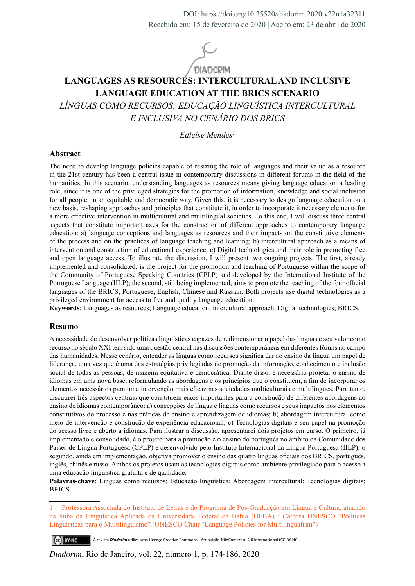

# **LANGUAGES AS RESOURCES: INTERCULTURAL AND INCLUSIVE LANGUAGE EDUCATION AT THE BRICS SCENARIO**

*LÍNGUAS COMO RECURSOS: EDUCAÇÃO LINGUÍSTICA INTERCULTURAL E INCLUSIVA NO CENÁRIO DOS BRICS*

*Edleise Mendes1*

#### **Abstract**

The need to develop language policies capable of resizing the role of languages and their value as a resource in the 21st century has been a central issue in contemporary discussions in different forums in the field of the humanities. In this scenario, understanding languages as resources means giving language education a leading role, since it is one of the privileged strategies for the promotion of information, knowledge and social inclusion for all people, in an equitable and democratic way. Given this, it is necessary to design language education on a new basis, reshaping approaches and principles that constitute it, in order to incorporate it necessary elements for a more effective intervention in multicultural and multilingual societies. To this end, I will discuss three central aspects that constitute important axes for the construction of different approaches to contemporary language education: a) language conceptions and languages as resources and their impacts on the constitutive elements of the process and on the practices of language teaching and learning; b) intercultural approach as a means of intervention and construction of educational experience; c) Digital technologies and their role in promoting free and open language access. To illustrate the discussion, I will present two ongoing projects. The first, already implemented and consolidated, is the project for the promotion and teaching of Portuguese within the scope of the Community of Portuguese Speaking Countries (CPLP) and developed by the International Institute of the Portuguese Language (IILP); the second, still being implemented, aims to promote the teaching of the four official languages of the BRICS, Portuguese, English, Chinese and Russian. Both projects use digital technologies as a privileged environment for access to free and quality language education.

**Keywords**: Languages as resources; Language education; intercultural approach; Digital technologies; BRICS.

#### **Resumo**

A necessidade de desenvolver políticas linguísticas capazes de redimensionar o papel das línguas e seu valor como recurso no século XXI tem sido uma questão central nas discussões contemporâneas em diferentes fóruns no campo das humanidades. Nesse cenário, entender as línguas como recursos significa dar ao ensino da língua um papel de liderança, uma vez que é uma das estratégias privilegiadas de promoção da informação, conhecimento e inclusão social de todas as pessoas, de maneira equitativa e democrática. Diante disso, é necessário projetar o ensino de idiomas em uma nova base, reformulando as abordagens e os princípios que o constituem, a fim de incorporar os elementos necessários para uma intervenção mais eficaz nas sociedades multiculturais e multilíngues. Para tanto, discutirei três aspectos centrais que constituem eixos importantes para a construção de diferentes abordagens ao ensino de idiomas contemporâneo: a) concepções de língua e línguas como recursos e seus impactos nos elementos constitutivos do processo e nas práticas de ensino e aprendizagem de idiomas; b) abordagem intercultural como meio de intervenção e construção de experiência educacional; c) Tecnologias digitais e seu papel na promoção do acesso livre e aberto a idiomas. Para ilustrar a discussão, apresentarei dois projetos em curso. O primeiro, já implementado e consolidado, é o projeto para a promoção e o ensino do português no âmbito da Comunidade dos Países de Língua Portuguesa (CPLP) e desenvolvido pelo Instituto Internacional da Língua Portuguesa (IILP); o segundo, ainda em implementação, objetiva promover o ensino das quatro línguas oficiais dos BRICS, português, inglês, chinês e russo. Ambos os projetos usam as tecnologias digitais como ambiente privilegiado para o acesso a uma educação linguística gratuita e de qualidade.

**Palavras-chave**: Línguas como recursos; Educação linguística; Abordagem intercultural; Tecnologias digitais; BRICS.

1 Professora Associada do Instituto de Letras e do Programa de Pós-Graduação em Língua e Cultura, atuando na linha da Linguística Aplicada da Universidade Federal da Bahia (UFBA) / Cátedra UNESCO "Políticas Linguísticas para o Multilinguismo" (UNESCO Chair "Language Policies for Multilingualism")

A revista *Diadorim* utiliza uma Licença Creative Commons - Atribuição-NãoComercial 4.0 Internacional (CC-BY-NC). Ce BY-NC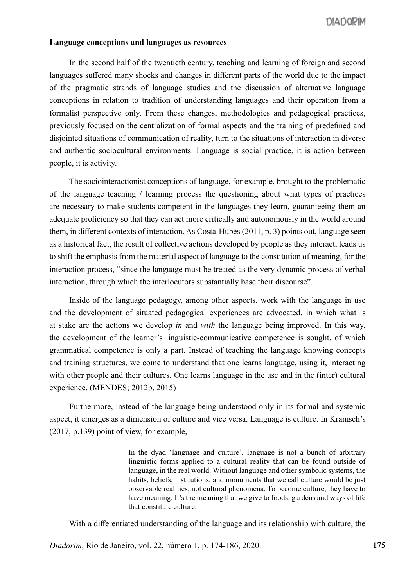#### **Language conceptions and languages as resources**

In the second half of the twentieth century, teaching and learning of foreign and second languages suffered many shocks and changes in different parts of the world due to the impact of the pragmatic strands of language studies and the discussion of alternative language conceptions in relation to tradition of understanding languages and their operation from a formalist perspective only. From these changes, methodologies and pedagogical practices, previously focused on the centralization of formal aspects and the training of predefined and disjointed situations of communication of reality, turn to the situations of interaction in diverse and authentic sociocultural environments. Language is social practice, it is action between people, it is activity.

The sociointeractionist conceptions of language, for example, brought to the problematic of the language teaching / learning process the questioning about what types of practices are necessary to make students competent in the languages they learn, guaranteeing them an adequate proficiency so that they can act more critically and autonomously in the world around them, in different contexts of interaction. As Costa-Hübes (2011, p. 3) points out, language seen as a historical fact, the result of collective actions developed by people as they interact, leads us to shift the emphasis from the material aspect of language to the constitution of meaning, for the interaction process, "since the language must be treated as the very dynamic process of verbal interaction, through which the interlocutors substantially base their discourse".

Inside of the language pedagogy, among other aspects, work with the language in use and the development of situated pedagogical experiences are advocated, in which what is at stake are the actions we develop *in* and *with* the language being improved. In this way, the development of the learner's linguistic-communicative competence is sought, of which grammatical competence is only a part. Instead of teaching the language knowing concepts and training structures, we come to understand that one learns language, using it, interacting with other people and their cultures. One learns language in the use and in the (inter) cultural experience. (MENDES; 2012b, 2015)

Furthermore, instead of the language being understood only in its formal and systemic aspect, it emerges as a dimension of culture and vice versa. Language is culture. In Kramsch's (2017, p.139) point of view, for example,

> In the dyad 'language and culture', language is not a bunch of arbitrary linguistic forms applied to a cultural reality that can be found outside of language, in the real world. Without language and other symbolic systems, the habits, beliefs, institutions, and monuments that we call culture would be just observable realities, not cultural phenomena. To become culture, they have to have meaning. It's the meaning that we give to foods, gardens and ways of life that constitute culture.

With a differentiated understanding of the language and its relationship with culture, the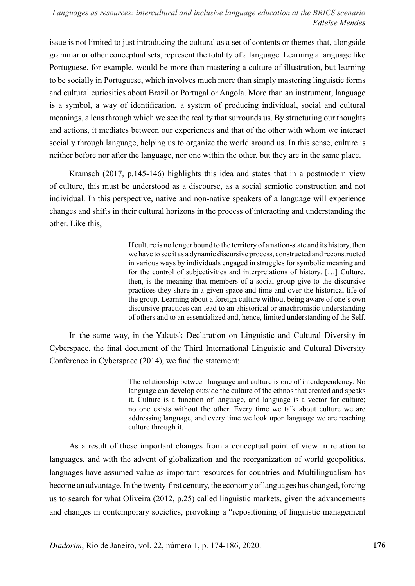issue is not limited to just introducing the cultural as a set of contents or themes that, alongside grammar or other conceptual sets, represent the totality of a language. Learning a language like Portuguese, for example, would be more than mastering a culture of illustration, but learning to be socially in Portuguese, which involves much more than simply mastering linguistic forms and cultural curiosities about Brazil or Portugal or Angola. More than an instrument, language is a symbol, a way of identification, a system of producing individual, social and cultural meanings, a lens through which we see the reality that surrounds us. By structuring our thoughts and actions, it mediates between our experiences and that of the other with whom we interact socially through language, helping us to organize the world around us. In this sense, culture is neither before nor after the language, nor one within the other, but they are in the same place.

Kramsch (2017, p.145-146) highlights this idea and states that in a postmodern view of culture, this must be understood as a discourse, as a social semiotic construction and not individual. In this perspective, native and non-native speakers of a language will experience changes and shifts in their cultural horizons in the process of interacting and understanding the other. Like this,

> If culture is no longer bound to the territory of a nation-state and its history, then we have to see it as a dynamic discursive process, constructed and reconstructed in various ways by individuals engaged in struggles for symbolic meaning and for the control of subjectivities and interpretations of history. […] Culture, then, is the meaning that members of a social group give to the discursive practices they share in a given space and time and over the historical life of the group. Learning about a foreign culture without being aware of one's own discursive practices can lead to an ahistorical or anachronistic understanding of others and to an essentialized and, hence, limited understanding of the Self.

In the same way, in the Yakutsk Declaration on Linguistic and Cultural Diversity in Cyberspace, the final document of the Third International Linguistic and Cultural Diversity Conference in Cyberspace (2014), we find the statement:

> The relationship between language and culture is one of interdependency. No language can develop outside the culture of the ethnos that created and speaks it. Culture is a function of language, and language is a vector for culture; no one exists without the other. Every time we talk about culture we are addressing language, and every time we look upon language we are reaching culture through it.

As a result of these important changes from a conceptual point of view in relation to languages, and with the advent of globalization and the reorganization of world geopolitics, languages have assumed value as important resources for countries and Multilingualism has become an advantage. In the twenty-first century, the economy of languages has changed, forcing us to search for what Oliveira (2012, p.25) called linguistic markets, given the advancements and changes in contemporary societies, provoking a "repositioning of linguistic management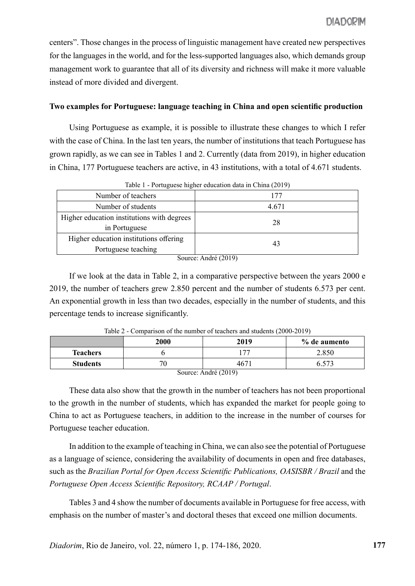centers". Those changes in the process of linguistic management have created new perspectives for the languages in the world, and for the less-supported languages also, which demands group management work to guarantee that all of its diversity and richness will make it more valuable instead of more divided and divergent.

## **Two examples for Portuguese: language teaching in China and open scientific production**

Using Portuguese as example, it is possible to illustrate these changes to which I refer with the case of China. In the last ten years, the number of institutions that teach Portuguese has grown rapidly, as we can see in Tables 1 and 2. Currently (data from 2019), in higher education in China, 177 Portuguese teachers are active, in 43 institutions, with a total of 4.671 students.

| 177                                                |
|----------------------------------------------------|
| 4.671                                              |
| 28                                                 |
| 43                                                 |
| $C_{2}$ $\ldots$ $\ldots$ $A_{n}$ $1$ $1$ $(2010)$ |
|                                                    |

Table 1 - Portuguese higher education data in China (2019)

Source: André (2019)

If we look at the data in Table 2, in a comparative perspective between the years 2000 e 2019, the number of teachers grew 2.850 percent and the number of students 6.573 per cent. An exponential growth in less than two decades, especially in the number of students, and this percentage tends to increase significantly.

| $10010 - 1$<br>$\sim$ comparison of the number of teachers and stadents (2000 2017) |             |      |              |  |
|-------------------------------------------------------------------------------------|-------------|------|--------------|--|
|                                                                                     | <b>2000</b> | 2019 | % de aumento |  |
| <b>Teachers</b>                                                                     |             | -77  | 2.850        |  |
| <b>Students</b>                                                                     |             | 4671 | 6.573        |  |
| Source: André (2019)                                                                |             |      |              |  |

Table 2 - Comparison of the number of teachers and students (2000-2019)

These data also show that the growth in the number of teachers has not been proportional to the growth in the number of students, which has expanded the market for people going to China to act as Portuguese teachers, in addition to the increase in the number of courses for Portuguese teacher education.

In addition to the example of teaching in China, we can also see the potential of Portuguese as a language of science, considering the availability of documents in open and free databases, such as the *Brazilian Portal for Open Access Scientific Publications, OASISBR / Brazil* and the *Portuguese Open Access Scientific Repository, RCAAP / Portugal*.

Tables 3 and 4 show the number of documents available in Portuguese for free access, with emphasis on the number of master's and doctoral theses that exceed one million documents.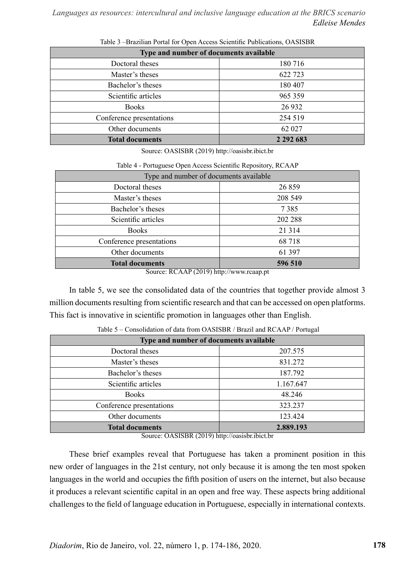| Type and number of documents available |               |  |
|----------------------------------------|---------------|--|
| Doctoral theses                        | 180 716       |  |
| Master's theses                        | 622 723       |  |
| Bachelor's theses                      | 180 407       |  |
| Scientific articles                    | 965 359       |  |
| <b>Books</b>                           | 26 9 32       |  |
| Conference presentations               | 254 519       |  |
| Other documents                        | 62 027        |  |
| <b>Total documents</b>                 | 2 2 9 2 6 8 3 |  |

Table 3 –Brazilian Portal for Open Access Scientific Publications, OASISBR

Source: OASISBR (2019) http://oasisbr.ibict.br

|  |  | Table 4 - Portuguese Open Access Scientific Repository, RCAAP |  |
|--|--|---------------------------------------------------------------|--|
|  |  |                                                               |  |

| Type and number of documents available |         |
|----------------------------------------|---------|
| Doctoral theses                        | 26 859  |
| Master's theses                        | 208 549 |
| Bachelor's theses                      | 7385    |
| Scientific articles                    | 202 288 |
| <b>Books</b>                           | 21 3 14 |
| Conference presentations               | 68 718  |
| Other documents                        | 61 397  |
| <b>Total documents</b>                 | 596 510 |

Source: RCAAP (2019) http://www.rcaap.pt

In table 5, we see the consolidated data of the countries that together provide almost 3 million documents resulting from scientific research and that can be accessed on open platforms. This fact is innovative in scientific promotion in languages other than English.

| Type and number of documents available          |                                                    |  |
|-------------------------------------------------|----------------------------------------------------|--|
| Doctoral theses                                 | 207.575                                            |  |
| Master's theses                                 | 831.272                                            |  |
| Bachelor's theses                               | 187.792                                            |  |
| Scientific articles                             | 1.167.647                                          |  |
| <b>Books</b>                                    | 48.246                                             |  |
| Conference presentations                        | 323.237                                            |  |
| Other documents                                 | 123.424                                            |  |
| <b>Total documents</b><br>0.1010000 (0.01011 1) | 2.889.193<br><b>The Contract Contract Contract</b> |  |

| Table 5 - Consolidation of data from OASISBR / Brazil and RCAAP / Portugal |  |
|----------------------------------------------------------------------------|--|
|----------------------------------------------------------------------------|--|

Source: OASISBR (2019) http://oasisbr.ibict.br

These brief examples reveal that Portuguese has taken a prominent position in this new order of languages in the 21st century, not only because it is among the ten most spoken languages in the world and occupies the fifth position of users on the internet, but also because it produces a relevant scientific capital in an open and free way. These aspects bring additional challenges to the field of language education in Portuguese, especially in international contexts.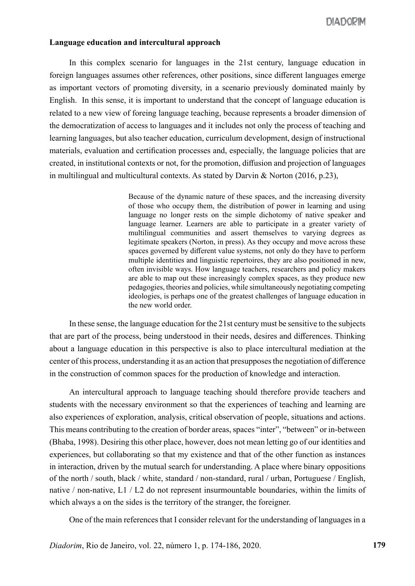## **Language education and intercultural approach**

In this complex scenario for languages in the 21st century, language education in foreign languages assumes other references, other positions, since different languages emerge as important vectors of promoting diversity, in a scenario previously dominated mainly by English. In this sense, it is important to understand that the concept of language education is related to a new view of foreing language teaching, because represents a broader dimension of the democratization of access to languages and it includes not only the process of teaching and learning languages, but also teacher education, curriculum development, design of instructional materials, evaluation and certification processes and, especially, the language policies that are created, in institutional contexts or not, for the promotion, diffusion and projection of languages in multilingual and multicultural contexts. As stated by Darvin & Norton (2016, p.23),

> Because of the dynamic nature of these spaces, and the increasing diversity of those who occupy them, the distribution of power in learning and using language no longer rests on the simple dichotomy of native speaker and language learner. Learners are able to participate in a greater variety of multilingual communities and assert themselves to varying degrees as legitimate speakers (Norton, in press). As they occupy and move across these spaces governed by different value systems, not only do they have to perform multiple identities and linguistic repertoires, they are also positioned in new, often invisible ways. How language teachers, researchers and policy makers are able to map out these increasingly complex spaces, as they produce new pedagogies, theories and policies, while simultaneously negotiating competing ideologies, is perhaps one of the greatest challenges of language education in the new world order.

In these sense, the language education for the 21st century must be sensitive to the subjects that are part of the process, being understood in their needs, desires and differences. Thinking about a language education in this perspective is also to place intercultural mediation at the center of this process, understanding it as an action that presupposes the negotiation of difference in the construction of common spaces for the production of knowledge and interaction.

An intercultural approach to language teaching should therefore provide teachers and students with the necessary environment so that the experiences of teaching and learning are also experiences of exploration, analysis, critical observation of people, situations and actions. This means contributing to the creation of border areas, spaces "inter", "between" or in-between (Bhaba, 1998). Desiring this other place, however, does not mean letting go of our identities and experiences, but collaborating so that my existence and that of the other function as instances in interaction, driven by the mutual search for understanding. A place where binary oppositions of the north / south, black / white, standard / non-standard, rural / urban, Portuguese / English, native / non-native, L1 / L2 do not represent insurmountable boundaries, within the limits of which always a on the sides is the territory of the stranger, the foreigner.

One of the main references that I consider relevant for the understanding of languages in a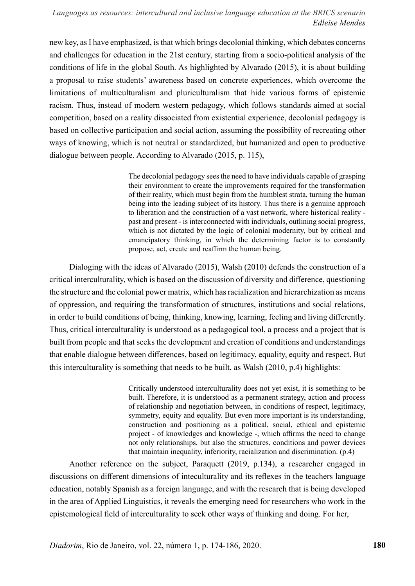new key, as I have emphasized, is that which brings decolonial thinking, which debates concerns and challenges for education in the 21st century, starting from a socio-political analysis of the conditions of life in the global South. As highlighted by Alvarado (2015), it is about building a proposal to raise students' awareness based on concrete experiences, which overcome the limitations of multiculturalism and pluriculturalism that hide various forms of epistemic racism. Thus, instead of modern western pedagogy, which follows standards aimed at social competition, based on a reality dissociated from existential experience, decolonial pedagogy is based on collective participation and social action, assuming the possibility of recreating other ways of knowing, which is not neutral or standardized, but humanized and open to productive dialogue between people. According to Alvarado (2015, p. 115),

> The decolonial pedagogy sees the need to have individuals capable of grasping their environment to create the improvements required for the transformation of their reality, which must begin from the humblest strata, turning the human being into the leading subject of its history. Thus there is a genuine approach to liberation and the construction of a vast network, where historical reality past and present - is interconnected with individuals, outlining social progress, which is not dictated by the logic of colonial modernity, but by critical and emancipatory thinking, in which the determining factor is to constantly propose, act, create and reaffirm the human being.

Dialoging with the ideas of Alvarado (2015), Walsh (2010) defends the construction of a critical interculturality, which is based on the discussion of diversity and difference, questioning the structure and the colonial power matrix, which has racialization and hierarchization as means of oppression, and requiring the transformation of structures, institutions and social relations, in order to build conditions of being, thinking, knowing, learning, feeling and living differently. Thus, critical interculturality is understood as a pedagogical tool, a process and a project that is built from people and that seeks the development and creation of conditions and understandings that enable dialogue between differences, based on legitimacy, equality, equity and respect. But this interculturality is something that needs to be built, as Walsh (2010, p.4) highlights:

> Critically understood interculturality does not yet exist, it is something to be built. Therefore, it is understood as a permanent strategy, action and process of relationship and negotiation between, in conditions of respect, legitimacy, symmetry, equity and equality. But even more important is its understanding, construction and positioning as a political, social, ethical and epistemic project - of knowledges and knowledge -, which affirms the need to change not only relationships, but also the structures, conditions and power devices that maintain inequality, inferiority, racialization and discrimination. (p.4)

Another reference on the subject, Paraquett (2019, p.134), a researcher engaged in discussions on different dimensions of inteculturality and its reflexes in the teachers language education, notably Spanish as a foreign language, and with the research that is being developed in the area of Applied Linguistics, it reveals the emerging need for researchers who work in the epistemological field of interculturality to seek other ways of thinking and doing. For her,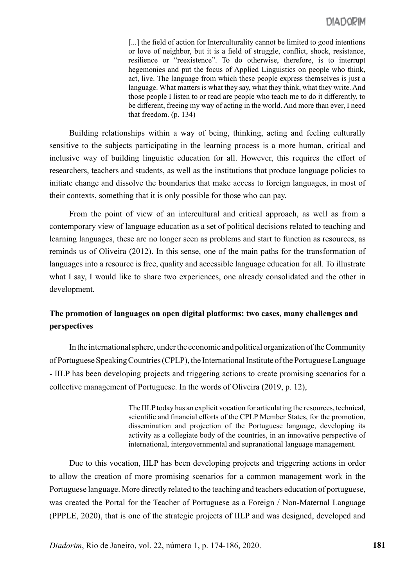[...] the field of action for Interculturality cannot be limited to good intentions or love of neighbor, but it is a field of struggle, conflict, shock, resistance, resilience or "reexistence". To do otherwise, therefore, is to interrupt hegemonies and put the focus of Applied Linguistics on people who think, act, live. The language from which these people express themselves is just a language. What matters is what they say, what they think, what they write. And those people I listen to or read are people who teach me to do it differently, to be different, freeing my way of acting in the world. And more than ever, I need that freedom. (p. 134)

Building relationships within a way of being, thinking, acting and feeling culturally sensitive to the subjects participating in the learning process is a more human, critical and inclusive way of building linguistic education for all. However, this requires the effort of researchers, teachers and students, as well as the institutions that produce language policies to initiate change and dissolve the boundaries that make access to foreign languages, in most of their contexts, something that it is only possible for those who can pay.

From the point of view of an intercultural and critical approach, as well as from a contemporary view of language education as a set of political decisions related to teaching and learning languages, these are no longer seen as problems and start to function as resources, as reminds us of Oliveira (2012). In this sense, one of the main paths for the transformation of languages into a resource is free, quality and accessible language education for all. To illustrate what I say, I would like to share two experiences, one already consolidated and the other in development.

# **The promotion of languages on open digital platforms: two cases, many challenges and perspectives**

In the international sphere, under the economic and political organization of the Community of Portuguese Speaking Countries (CPLP), the International Institute of the Portuguese Language - IILP has been developing projects and triggering actions to create promising scenarios for a collective management of Portuguese. In the words of Oliveira (2019, p. 12),

> The IILP today has an explicit vocation for articulating the resources, technical, scientific and financial efforts of the CPLP Member States, for the promotion, dissemination and projection of the Portuguese language, developing its activity as a collegiate body of the countries, in an innovative perspective of international, intergovernmental and supranational language management.

Due to this vocation, IILP has been developing projects and triggering actions in order to allow the creation of more promising scenarios for a common management work in the Portuguese language. More directly related to the teaching and teachers education of portuguese, was created the Portal for the Teacher of Portuguese as a Foreign / Non-Maternal Language (PPPLE, 2020), that is one of the strategic projects of IILP and was designed, developed and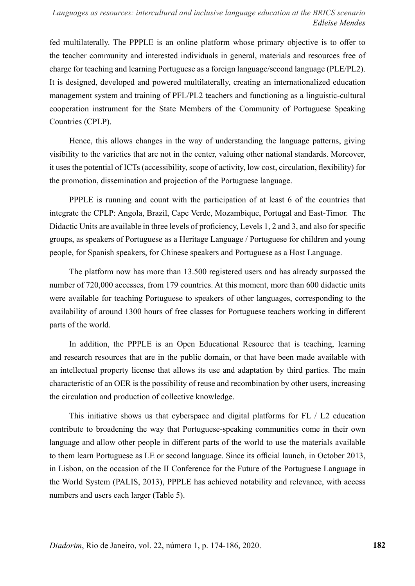fed multilaterally. The PPPLE is an online platform whose primary objective is to offer to the teacher community and interested individuals in general, materials and resources free of charge for teaching and learning Portuguese as a foreign language/second language (PLE/PL2). It is designed, developed and powered multilaterally, creating an internationalized education management system and training of PFL/PL2 teachers and functioning as a linguistic-cultural cooperation instrument for the State Members of the Community of Portuguese Speaking Countries (CPLP).

Hence, this allows changes in the way of understanding the language patterns, giving visibility to the varieties that are not in the center, valuing other national standards. Moreover, it uses the potential of ICTs (accessibility, scope of activity, low cost, circulation, flexibility) for the promotion, dissemination and projection of the Portuguese language.

PPPLE is running and count with the participation of at least 6 of the countries that integrate the CPLP: Angola, Brazil, Cape Verde, Mozambique, Portugal and East-Timor. The Didactic Units are available in three levels of proficiency, Levels 1, 2 and 3, and also for specific groups, as speakers of Portuguese as a Heritage Language / Portuguese for children and young people, for Spanish speakers, for Chinese speakers and Portuguese as a Host Language.

The platform now has more than 13.500 registered users and has already surpassed the number of 720,000 accesses, from 179 countries. At this moment, more than 600 didactic units were available for teaching Portuguese to speakers of other languages, corresponding to the availability of around 1300 hours of free classes for Portuguese teachers working in different parts of the world.

In addition, the PPPLE is an Open Educational Resource that is teaching, learning and research resources that are in the public domain, or that have been made available with an intellectual property license that allows its use and adaptation by third parties. The main characteristic of an OER is the possibility of reuse and recombination by other users, increasing the circulation and production of collective knowledge.

This initiative shows us that cyberspace and digital platforms for FL / L2 education contribute to broadening the way that Portuguese-speaking communities come in their own language and allow other people in different parts of the world to use the materials available to them learn Portuguese as LE or second language. Since its official launch, in October 2013, in Lisbon, on the occasion of the II Conference for the Future of the Portuguese Language in the World System (PALIS, 2013), PPPLE has achieved notability and relevance, with access numbers and users each larger (Table 5).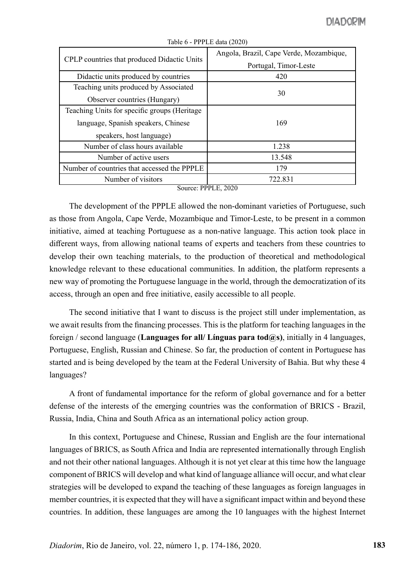| CPLP countries that produced Didactic Units  | Angola, Brazil, Cape Verde, Mozambique, |
|----------------------------------------------|-----------------------------------------|
|                                              | Portugal, Timor-Leste                   |
| Didactic units produced by countries         | 420                                     |
| Teaching units produced by Associated        |                                         |
| Observer countries (Hungary)                 | 30                                      |
| Teaching Units for specific groups (Heritage |                                         |
| language, Spanish speakers, Chinese          | 169                                     |
| speakers, host language)                     |                                         |
| Number of class hours available              | 1.238                                   |
| Number of active users                       | 13.548                                  |
| Number of countries that accessed the PPPLE  | 179                                     |
| Number of visitors                           | 722.831                                 |

Table 6 - PPPLE data (2020)

Source: PPPLE, 2020

The development of the PPPLE allowed the non-dominant varieties of Portuguese, such as those from Angola, Cape Verde, Mozambique and Timor-Leste, to be present in a common initiative, aimed at teaching Portuguese as a non-native language. This action took place in different ways, from allowing national teams of experts and teachers from these countries to develop their own teaching materials, to the production of theoretical and methodological knowledge relevant to these educational communities. In addition, the platform represents a new way of promoting the Portuguese language in the world, through the democratization of its access, through an open and free initiative, easily accessible to all people.

The second initiative that I want to discuss is the project still under implementation, as we await results from the financing processes. This is the platform for teaching languages in the foreign / second language (**Languages for all/ Línguas para tod@s)**, initially in 4 languages, Portuguese, English, Russian and Chinese. So far, the production of content in Portuguese has started and is being developed by the team at the Federal University of Bahia. But why these 4 languages?

A front of fundamental importance for the reform of global governance and for a better defense of the interests of the emerging countries was the conformation of BRICS - Brazil, Russia, India, China and South Africa as an international policy action group.

In this context, Portuguese and Chinese, Russian and English are the four international languages of BRICS, as South Africa and India are represented internationally through English and not their other national languages. Although it is not yet clear at this time how the language component of BRICS will develop and what kind of language alliance will occur, and what clear strategies will be developed to expand the teaching of these languages as foreign languages in member countries, it is expected that they will have a significant impact within and beyond these countries. In addition, these languages are among the 10 languages with the highest Internet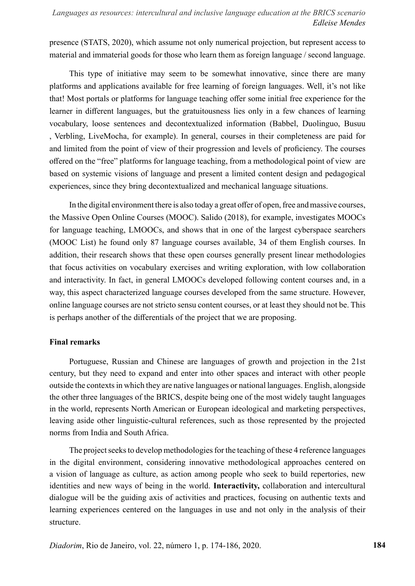presence (STATS, 2020), which assume not only numerical projection, but represent access to material and immaterial goods for those who learn them as foreign language / second language.

This type of initiative may seem to be somewhat innovative, since there are many platforms and applications available for free learning of foreign languages. Well, it's not like that! Most portals or platforms for language teaching offer some initial free experience for the learner in different languages, but the gratuitousness lies only in a few chances of learning vocabulary, loose sentences and decontextualized information (Babbel, Duolinguo, Busuu , Verbling, LiveMocha, for example). In general, courses in their completeness are paid for and limited from the point of view of their progression and levels of proficiency. The courses offered on the "free" platforms for language teaching, from a methodological point of view are based on systemic visions of language and present a limited content design and pedagogical experiences, since they bring decontextualized and mechanical language situations.

In the digital environment there is also today a great offer of open, free and massive courses, the Massive Open Online Courses (MOOC). Salido (2018), for example, investigates MOOCs for language teaching, LMOOCs, and shows that in one of the largest cyberspace searchers (MOOC List) he found only 87 language courses available, 34 of them English courses. In addition, their research shows that these open courses generally present linear methodologies that focus activities on vocabulary exercises and writing exploration, with low collaboration and interactivity. In fact, in general LMOOCs developed following content courses and, in a way, this aspect characterized language courses developed from the same structure. However, online language courses are not stricto sensu content courses, or at least they should not be. This is perhaps another of the differentials of the project that we are proposing.

### **Final remarks**

Portuguese, Russian and Chinese are languages of growth and projection in the 21st century, but they need to expand and enter into other spaces and interact with other people outside the contexts in which they are native languages or national languages. English, alongside the other three languages of the BRICS, despite being one of the most widely taught languages in the world, represents North American or European ideological and marketing perspectives, leaving aside other linguistic-cultural references, such as those represented by the projected norms from India and South Africa.

The project seeks to develop methodologies for the teaching of these 4 reference languages in the digital environment, considering innovative methodological approaches centered on a vision of language as culture, as action among people who seek to build repertories, new identities and new ways of being in the world. **Interactivity,** collaboration and intercultural dialogue will be the guiding axis of activities and practices, focusing on authentic texts and learning experiences centered on the languages in use and not only in the analysis of their structure.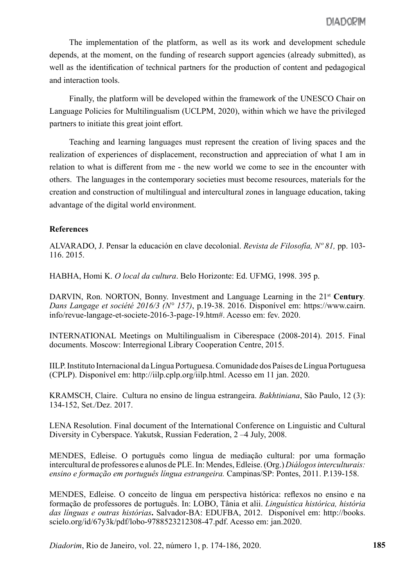The implementation of the platform, as well as its work and development schedule depends, at the moment, on the funding of research support agencies (already submitted), as well as the identification of technical partners for the production of content and pedagogical and interaction tools.

Finally, the platform will be developed within the framework of the UNESCO Chair on Language Policies for Multilingualism (UCLPM, 2020), within which we have the privileged partners to initiate this great joint effort.

Teaching and learning languages must represent the creation of living spaces and the realization of experiences of displacement, reconstruction and appreciation of what I am in relation to what is different from me - the new world we come to see in the encounter with others. The languages in the contemporary societies must become resources, materials for the creation and construction of multilingual and intercultural zones in language education, taking advantage of the digital world environment.

### **References**

ALVARADO, J. Pensar la educación en clave decolonial. *Revista de Filosofía, Nº 81,* pp. 103- 116. 2015.

HABHA, Homi K. *O local da cultura*. Belo Horizonte: Ed. UFMG, 1998. 395 p.

DARVIN, Ron. NORTON, Bonny. Investment and Language Learning in the 21<sup>st</sup> Century. *Dans Langage et société 2016/3 (N° 157)*, p.19-38. 2016. Disponível em: https://www.cairn. info/revue-langage-et-societe-2016-3-page-19.htm#. Acesso em: fev. 2020.

INTERNATIONAL Meetings on Multilingualism in Ciberespace (2008-2014). 2015. Final documents. Moscow: Interregional Library Cooperation Centre, 2015.

IILP. Instituto Internacional da Língua Portuguesa. Comunidade dos Países de Língua Portuguesa (CPLP). Disponível em: http://iilp.cplp.org/iilp.html. Acesso em 11 jan. 2020.

KRAMSCH, Claire. Cultura no ensino de língua estrangeira. *Bakhtiniana*, São Paulo, 12 (3): 134-152, Set./Dez. 2017.

LENA Resolution. Final document of the International Conference on Linguistic and Cultural Diversity in Cyberspace. Yakutsk, Russian Federation, 2 –4 July, 2008.

MENDES, Edleise. O português como língua de mediação cultural: por uma formação intercultural de professores e alunos de PLE. In: Mendes, Edleise. (Org.) *Diálogos interculturais: ensino e formação em português língua estrangeira.* Campinas/SP: Pontes, 2011. P.139-158.

MENDES, Edleise. O conceito de língua em perspectiva histórica: reflexos no ensino e na formação de professores de português. In: LOBO, Tânia et alii. *Linguística histórica, história das línguas e outras histórias***.** Salvador-BA: EDUFBA, 2012. Disponível em: http://books. scielo.org/id/67y3k/pdf/lobo-9788523212308-47.pdf. Acesso em: jan.2020.